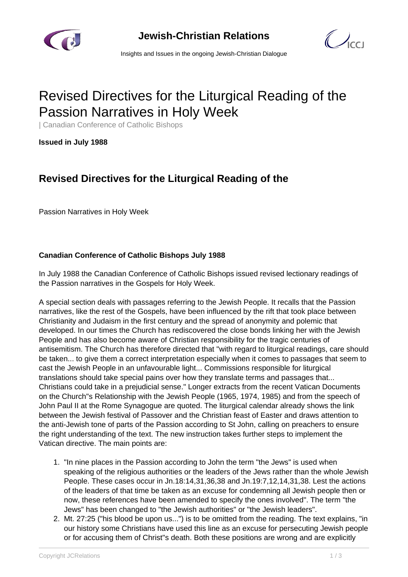

**Jewish-Christian Relations**

 $\bigcup_{C}$ 

Insights and Issues in the ongoing Jewish-Christian Dialogue

# Revised Directives for the Liturgical Reading of the Passion Narratives in Holy Week

| Canadian Conference of Catholic Bishops

**Issued in July 1988**

## **Revised Directives for the Liturgical Reading of the**

Passion Narratives in Holy Week

### **Canadian Conference of Catholic Bishops July 1988**

In July 1988 the Canadian Conference of Catholic Bishops issued revised lectionary readings of the Passion narratives in the Gospels for Holy Week.

A special section deals with passages referring to the Jewish People. It recalls that the Passion narratives, like the rest of the Gospels, have been influenced by the rift that took place between Christianity and Judaism in the first century and the spread of anonymity and polemic that developed. In our times the Church has rediscovered the close bonds linking her with the Jewish People and has also become aware of Christian responsibility for the tragic centuries of antisemitism. The Church has therefore directed that "with regard to liturgical readings, care should be taken... to give them a correct interpretation especially when it comes to passages that seem to cast the Jewish People in an unfavourable light... Commissions responsible for liturgical translations should take special pains over how they translate terms and passages that... Christians could take in a prejudicial sense." Longer extracts from the recent Vatican Documents on the Church"s Relationship with the Jewish People (1965, 1974, 1985) and from the speech of John Paul II at the Rome Synagogue are quoted. The liturgical calendar already shows the link between the Jewish festival of Passover and the Christian feast of Easter and draws attention to the anti-Jewish tone of parts of the Passion according to St John, calling on preachers to ensure the right understanding of the text. The new instruction takes further steps to implement the Vatican directive. The main points are:

- 1. "In nine places in the Passion according to John the term "the Jews" is used when speaking of the religious authorities or the leaders of the Jews rather than the whole Jewish People. These cases occur in Jn.18:14,31,36,38 and Jn.19:7,12,14,31,38. Lest the actions of the leaders of that time be taken as an excuse for condemning all Jewish people then or now, these references have been amended to specify the ones involved". The term "the Jews" has been changed to "the Jewish authorities" or "the Jewish leaders".
- 2. Mt. 27:25 ("his blood be upon us...") is to be omitted from the reading. The text explains, "in our history some Christians have used this line as an excuse for persecuting Jewish people or for accusing them of Christ"s death. Both these positions are wrong and are explicitly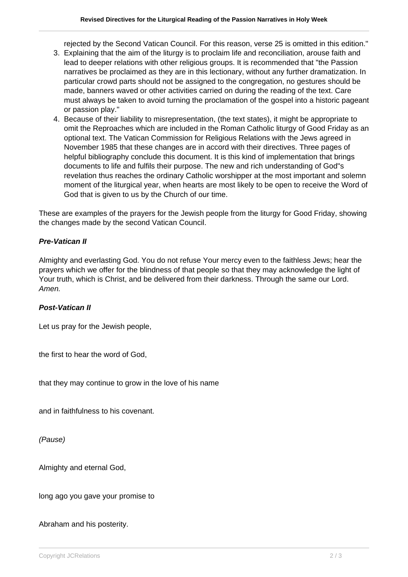rejected by the Second Vatican Council. For this reason, verse 25 is omitted in this edition."

- 3. Explaining that the aim of the liturgy is to proclaim life and reconciliation, arouse faith and lead to deeper relations with other religious groups. It is recommended that "the Passion narratives be proclaimed as they are in this lectionary, without any further dramatization. In particular crowd parts should not be assigned to the congregation, no gestures should be made, banners waved or other activities carried on during the reading of the text. Care must always be taken to avoid turning the proclamation of the gospel into a historic pageant or passion play."
- 4. Because of their liability to misrepresentation, (the text states), it might be appropriate to omit the Reproaches which are included in the Roman Catholic liturgy of Good Friday as an optional text. The Vatican Commission for Religious Relations with the Jews agreed in November 1985 that these changes are in accord with their directives. Three pages of helpful bibliography conclude this document. It is this kind of implementation that brings documents to life and fulfils their purpose. The new and rich understanding of God"s revelation thus reaches the ordinary Catholic worshipper at the most important and solemn moment of the liturgical year, when hearts are most likely to be open to receive the Word of God that is given to us by the Church of our time.

These are examples of the prayers for the Jewish people from the liturgy for Good Friday, showing the changes made by the second Vatican Council.

#### **Pre-Vatican II**

Almighty and everlasting God. You do not refuse Your mercy even to the faithless Jews; hear the prayers which we offer for the blindness of that people so that they may acknowledge the light of Your truth, which is Christ, and be delivered from their darkness. Through the same our Lord. Amen.

#### **Post-Vatican II**

Let us pray for the Jewish people,

the first to hear the word of God,

that they may continue to grow in the love of his name

and in faithfulness to his covenant.

(Pause)

Almighty and eternal God,

long ago you gave your promise to

Abraham and his posterity.